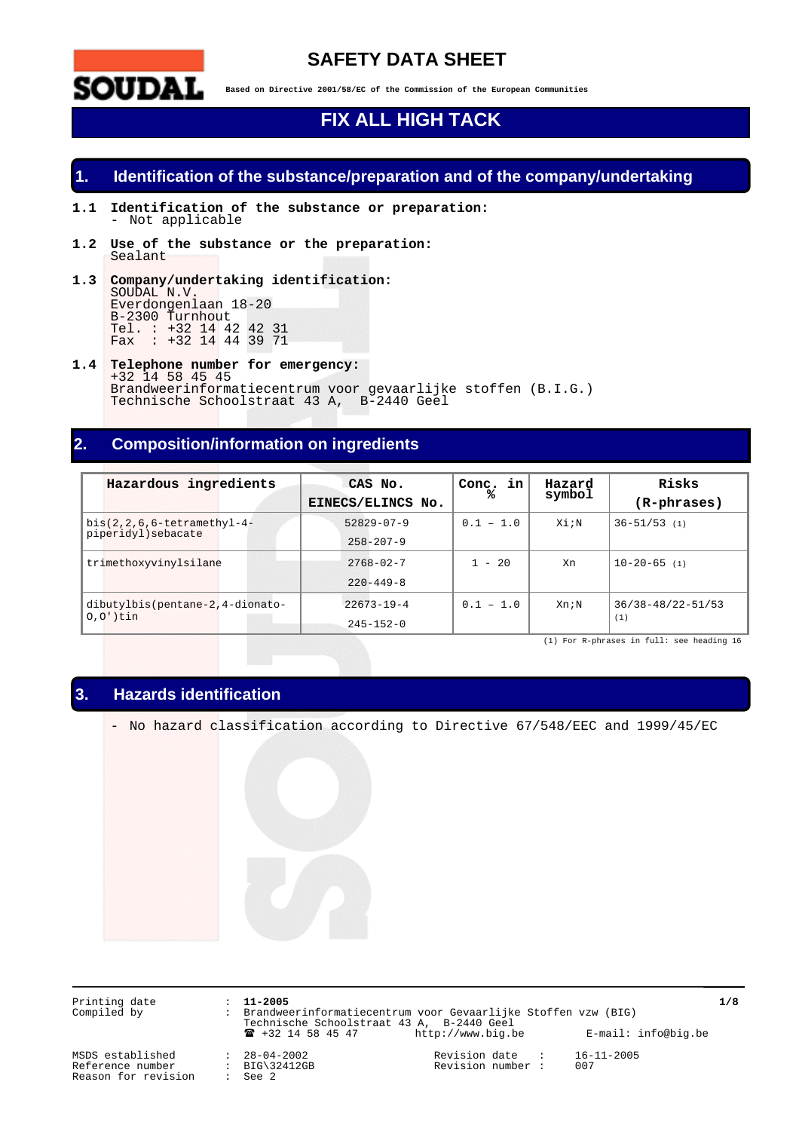

## **SAFETY DATA SHEET**

**Based on Directive 2001/58/EC of the Commission of the European Communities**

# **FIX ALL HIGH TACK**

## **1. Identification of the substance/preparation and of the company/undertaking**

- **1.1 Identification of the substance or preparation:** - Not applicable
- **1.2 Use of the substance or the preparation:** Sealant
- **1.3 Company/undertaking identification:** SOUDAL, N.V. Everdongenlaan 18-20 B-2300 Turnhout Tel. : +32 14 42 42 31 Fax : +32 14 44 39 71
- **1.4 Telephone number for emergency:** +32 14 58 45 45 Brandweerinformatiecentrum voor gevaarlijke stoffen (B.I.G.) Technische Schoolstraat 43 A, B-2440 Geel

## **2. Composition/information on ingredients**

| Hazardous ingredients           | CAS No.<br>EINECS/ELINCS No. | Conc. in<br>℁ | Hazard<br>symbol | Risks<br>$(R$ -phrases $)$ |
|---------------------------------|------------------------------|---------------|------------------|----------------------------|
| $bis(2,2,6,6-tetramethyl-4-$    | $52829 - 07 - 9$             | $0.1 - 1.0$   | Xi;N             | $36 - 51/53$ (1)           |
| piperidyl) sebacate             | $258 - 207 - 9$              |               |                  |                            |
| trimethoxyvinylsilane           | $2768 - 02 - 7$              | $1 - 20$      | Xn               | $10 - 20 - 65$ (1)         |
|                                 | $220 - 449 - 8$              |               |                  |                            |
| dibutylbis(pentane-2,4-dionato- | $22673 - 19 - 4$             | $0.1 - 1.0$   | Xn;N             | 36/38-48/22-51/53          |
| $0,0'$ )tin                     | $245 - 152 - 0$              |               |                  | (1)                        |

(1) For R-phrases in full: see heading 16

## **3. Hazards identification**

- No hazard classification according to Directive 67/548/EEC and 1999/45/EC

Printing date : **11-2005 1/8** Compiled by : Brandweerinformatiecentrum voor Gevaarlijke Stoffen vzw (BIG) Technische Schoolstraat 43 A, B-2440 Geel ! +32 14 58 45 47 http://www.big.be E-mail: info@big.be

MSDS established : 28-04-2002 Revision date : 16-11-2005<br>
Reference number : BIG\32412GB Revision number : 007<br>
Reason for revision : See 2 Reason for revision

Revision number :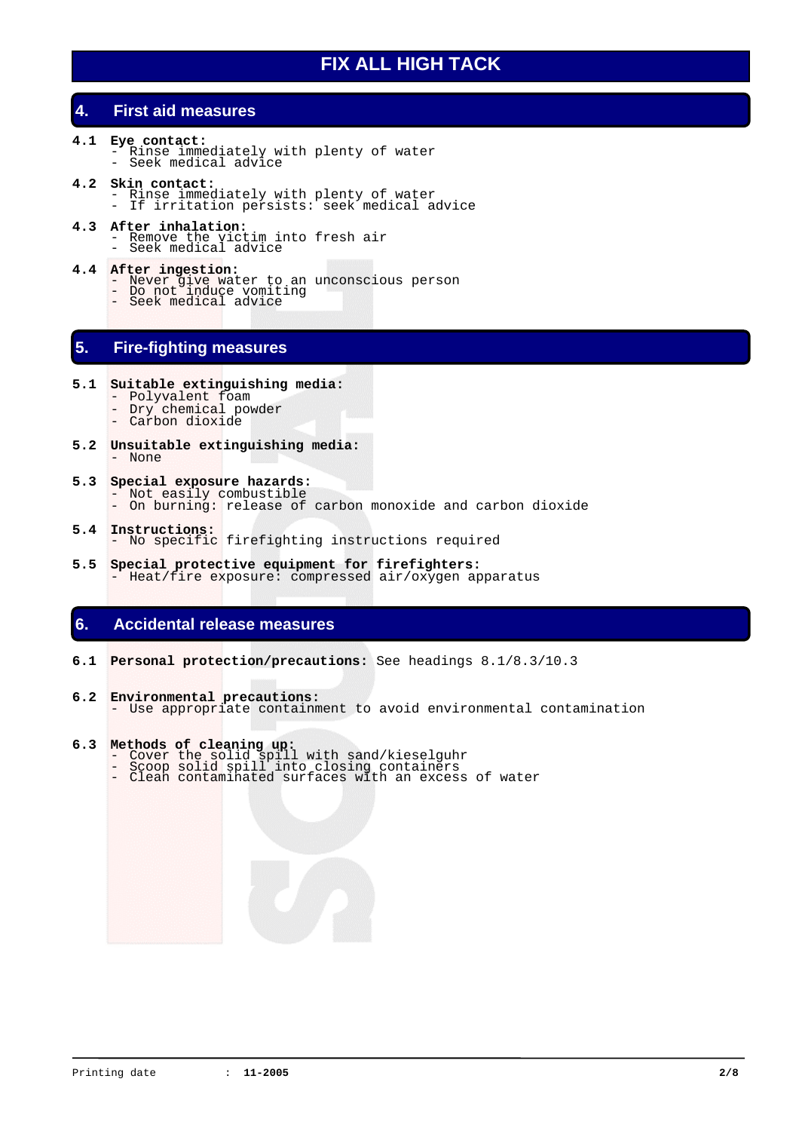## **4. First aid measures**

- **4.1 Eye contact:** Rinse immediately with plenty of water Seek medical advice
- **4.2 Skin contact:**
	- Rinse immediately with plenty of water If irritation persists: seek medical advice
- **4.3 After inhalation:**
	- Remove the victim into fresh air Seek medical advice
	-
- **4.4 After ingestion:** Never give water to an unconscious person Do not induce vomiting Seek medical advice
	-
- **5. Fire-fighting measures**
- **5.1 Suitable extinguishing media:**
	- Polyvalent foam
	- Dry chemical powder - Carbon dioxide
- **5.2 Unsuitable extinguishing media:** - None
- **5.3 Special exposure hazards:** - Not easily combustible
	- On burning: release of carbon monoxide and carbon dioxide
- **5.4 Instructions:** No specific firefighting instructions required
- **5.5 Special protective equipment for firefighters:** - Heat/fire exposure: compressed air/oxygen apparatus

## **6. Accidental release measures**

- **6.1 Personal protection/precautions:** See headings 8.1/8.3/10.3
- **6.2 Environmental precautions:** - Use appropriate containment to avoid environmental contamination

## **6.3 Methods of cleaning up:**

- 
- Cover the solid spill with sand/kieselguhr Scoop solid spill into closing containers Clean contaminated surfaces with an excess of water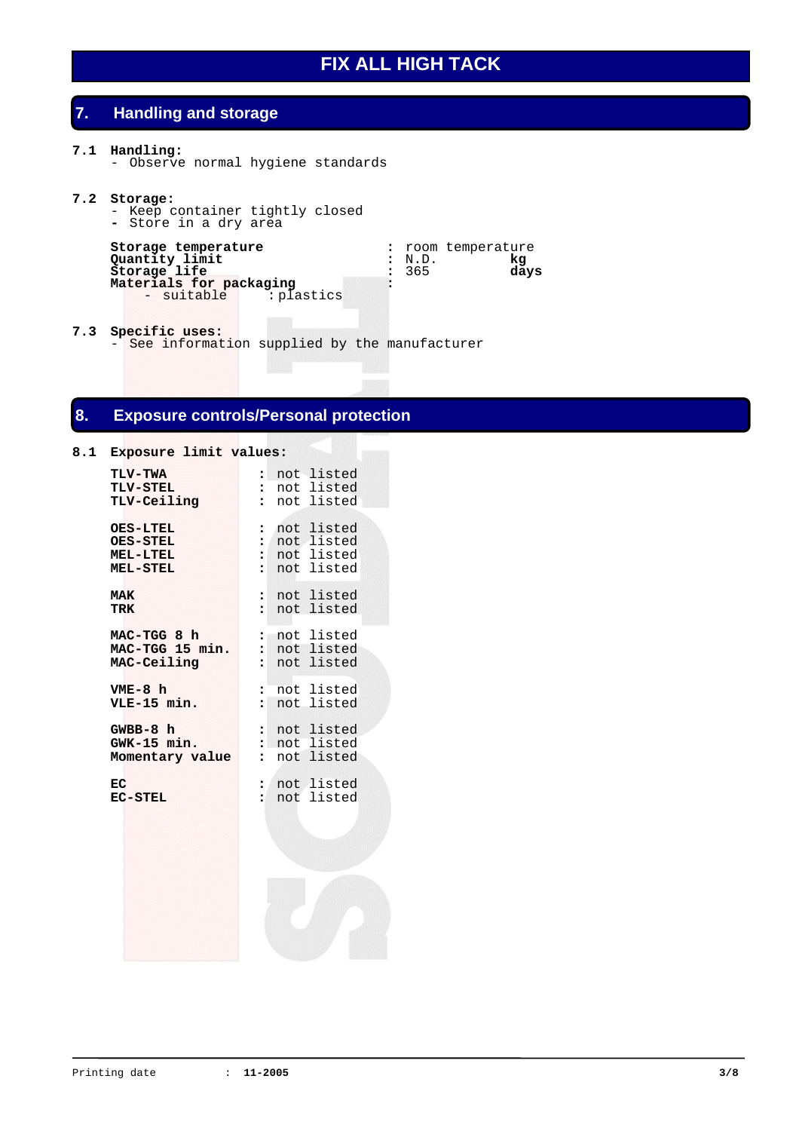## **7. Handling and storage**

#### **7.1 Handling:**

- Observe normal hygiene standards

#### **7.2 Storage:**

- Keep container tightly closed
- **-** Store in a dry area

```
Storage temperature : : room temperature <br>
Quantity limit : N.D. kg
                              Quantity limit : N.D. kg
Storage life : 365 days
Materials for packaging :
   - suitable : plastics
```
**7.3 Specific uses:** - See information supplied by the manufacturer

## **8. Exposure controls/Personal protection**

# **8.1 Exposure limit values: TLV-TWA :** not listed **T** not listed<br> **T** not listed TLV-Ceiling **OES-LTEL :** not listed **OES-STEL :** not listed **MEL-LTEL :** not listed **MEL-STEL :** not listed **MAK** : not listed<br>TRK : not listed **TRK :** not listed **MAC-TGG 8 h :** not listed **MAC-TGG 15 min. :** not listed **MAC-Ceiling :** not listed **VME-8 h :** not listed **VLE-15 min. GWBB-8 h :** not listed **GWK-15 min. :** not listed **Momentary value :** not listed **EC :** not listed **EC-STEL :** not listed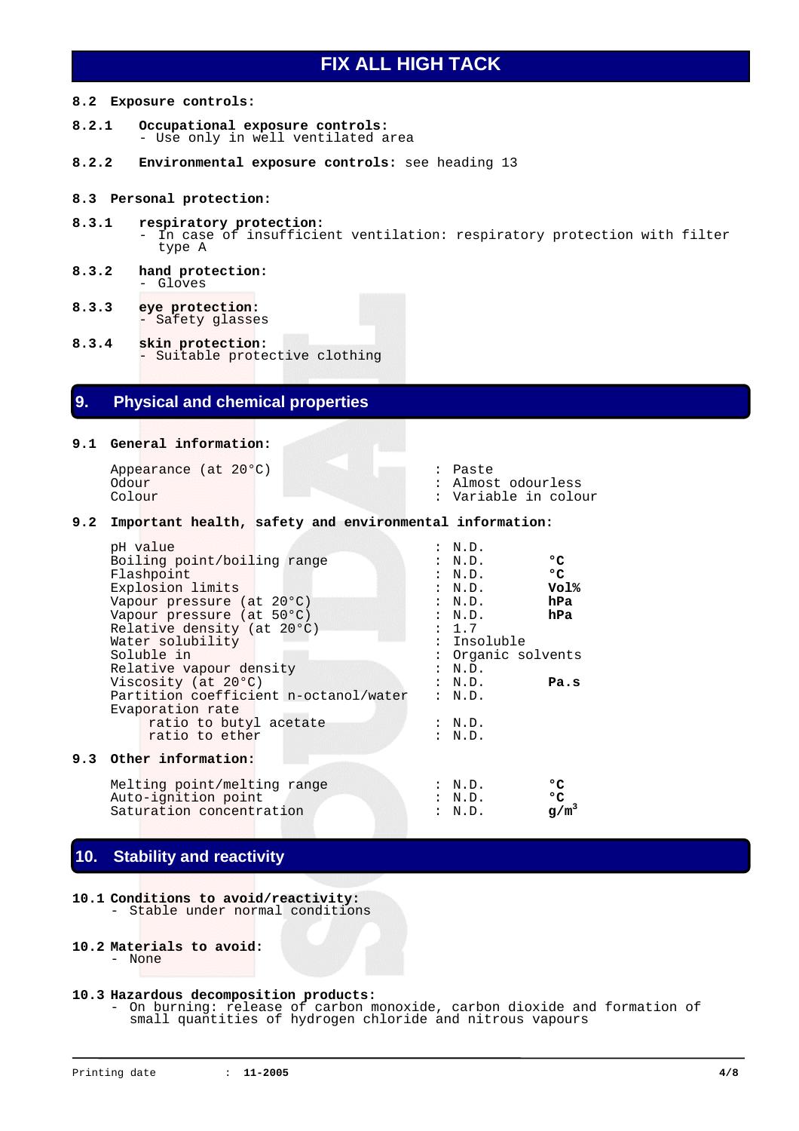#### **8.2 Exposure controls:**

- **8.2.1 Occupational exposure controls:** - Use only in well ventilated area
- **8.2.2 Environmental exposure controls:** see heading 13

#### **8.3 Personal protection:**

- **8.3.1 respiratory protection:** In case of insufficient ventilation: respiratory protection with filter type A
- **8.3.2 hand protection:** - Gloves
- **8.3.3 eye protection:** - Safety glasses
- **8.3.4 skin protection:** - Suitable protective clothing

## **9. Physical and chemical properties**

**9.1 General information:**

Appearance (at 20°C)  $\qquad \qquad :$  Paste Odour  $\qquad \qquad :$  Almos Odour : Almost odourless<br>
Colour : Almost odourless<br>
Colour : Variable in colo

Variable in colour

#### **9.2 Important health, safety and environmental information:**

| pH value                              | : N.D.                 |
|---------------------------------------|------------------------|
| Boiling point/boiling range           | ۰c<br>: N.D.           |
| Flashpoint                            | $^{\circ}$ C<br>: N.D. |
| Explosion limits                      | Vol%<br>: N.D.         |
| Vapour pressure (at 20°C)             | hPa<br>: N.D.          |
| Vapour pressure (at 50°C)             | hPa<br>: N.D.          |
| Relative density (at 20°C)            | : 1.7                  |
| Water solubility                      | : Insoluble            |
| Soluble in                            | : Organic solvents     |
| Relative vapour density               | : N.D.                 |
| Viscosity (at 20°C)                   | : N.D.<br>Pa.s         |
| Partition coefficient n-octanol/water | : N.D.                 |
| Evaporation rate                      |                        |
| ratio to butyl acetate                | : N.D.                 |
| ratio to ether                        | : N.D.                 |
|                                       |                        |
| Other information:                    |                        |
|                                       |                        |

| Melting point/melting range | : N.D. | $^{\circ}$ |
|-----------------------------|--------|------------|
| Auto-ignition point         | : N.D. | י יס       |
| Saturation concentration    | : N.D. | $q/m^3$    |

## **10. Stability and reactivity**

**10.1 Conditions to avoid/reactivity:** Stable under normal conditions

```
10.2 Materials to avoid:
```
- None

**9.3 Other information:**

## **10.3 Hazardous decomposition products:**

- On burning: release of carbon monoxide, carbon dioxide and formation of small quantities of hydrogen chloride and nitrous vapours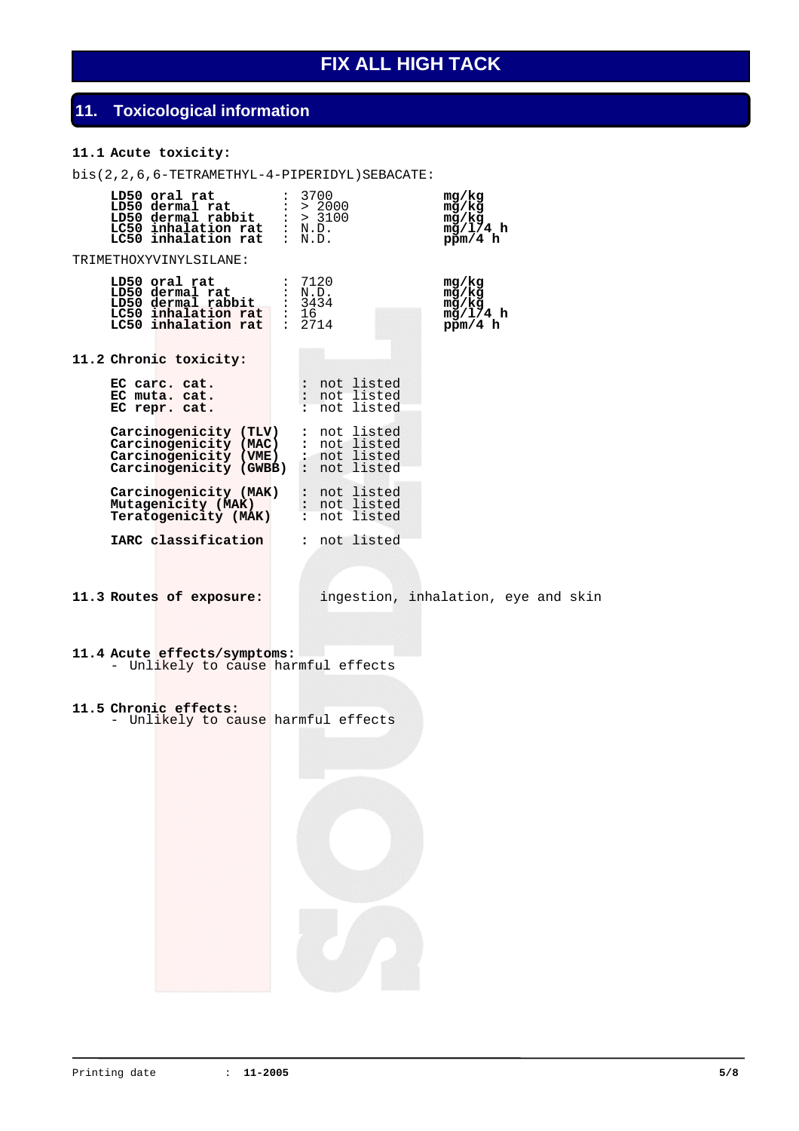# **11. Toxicological information**

## **11.1 Acute toxicity:**

bis(2,2,6,6-TETRAMETHYL-4-PIPERIDYL)SEBACATE:

|  | LD50 oral rat<br>LD50 oral rat : $3/00$<br>LD50 dermal rat : > $2000$<br>LD50 dermal rabbit : > 3100<br>LC50 inhalation rat : N.D.<br>LC50 inhalation rat : N.D. | 3700   |                                              | mq/kg<br>mg/kg<br>mg/kg<br>mg/1/4 h<br>ppm/4 h |  |  |
|--|------------------------------------------------------------------------------------------------------------------------------------------------------------------|--------|----------------------------------------------|------------------------------------------------|--|--|
|  | TRIMETHOXYVINYLSILANE:                                                                                                                                           |        |                                              |                                                |  |  |
|  | LD50 oral rat<br>LD50 dermal rat : N.D.<br>LD50 dermal rabbit : 3434<br>LC50 inhalation rat : 16<br>LC50 inhalation rat : 2714                                   | : 7120 |                                              | mg/kg<br>mg/kg<br>mg/kg<br>mg/1/4 h<br>ppm/4 h |  |  |
|  | 11.2 Chronic toxicity:                                                                                                                                           |        |                                              |                                                |  |  |
|  | EC carc. cat.<br>EC muta. cat.<br>EC repr. cat.                                                                                                                  |        | : not listed<br>: not listed<br>: not listed |                                                |  |  |
|  | Carcinogenicity (TLV)<br>Carcinogenicity (MAC)<br>Carcinogenicity (VME)<br>Carcinogenicity (GWBB) : not listed                                                   |        | : not listed<br>: not listed<br>: not listed |                                                |  |  |
|  | Carcinogenicity (MAK)<br>Mutagenicity (MAK)<br>Teratogenicity (MAK)                                                                                              |        | : not listed<br>: not listed<br>: not listed |                                                |  |  |
|  | IARC classification                                                                                                                                              |        | : not listed                                 |                                                |  |  |
|  | 11.3 Routes of exposure:                                                                                                                                         |        |                                              | ingestion, inhalation, eye and skin            |  |  |
|  | 11.4 Acute effects/symptoms:<br>- Unlikely to cause harmful effects                                                                                              |        |                                              |                                                |  |  |
|  | 11.5 Chronic effects:<br>- Unlikely to cause harmful effects                                                                                                     |        |                                              |                                                |  |  |
|  |                                                                                                                                                                  |        |                                              |                                                |  |  |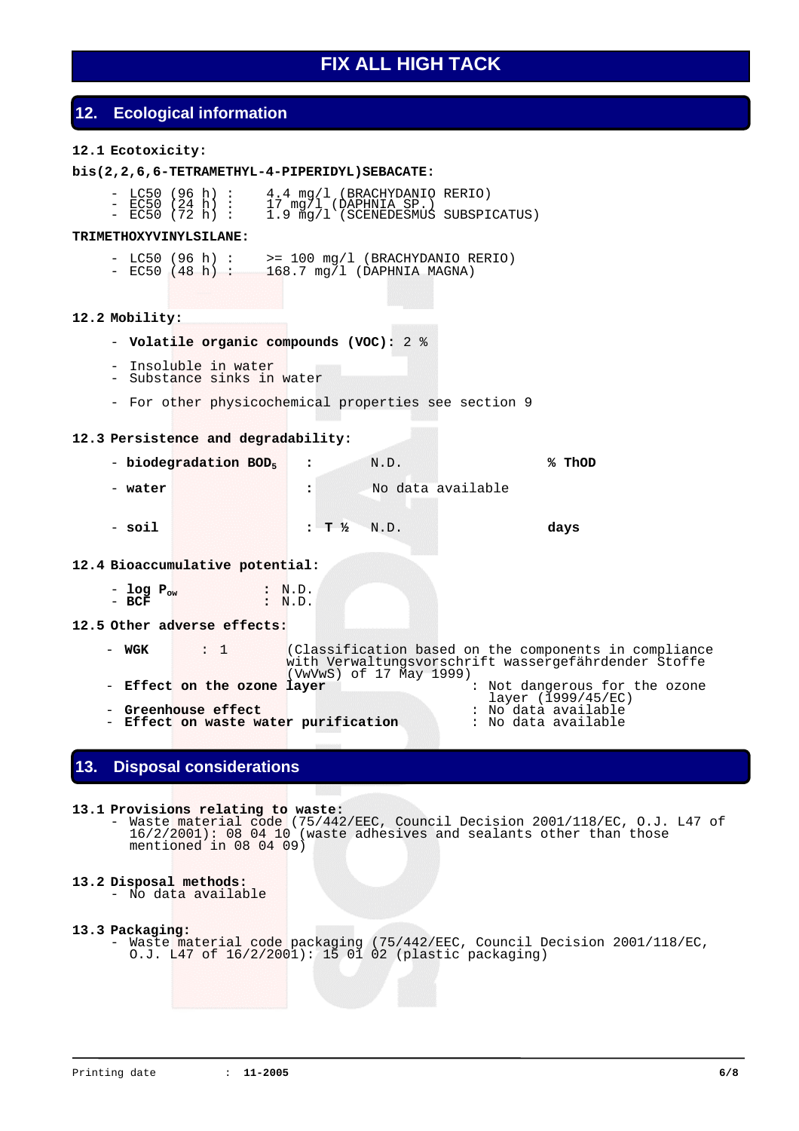## **12. Ecological information**

### **12.1 Ecotoxicity:**

### **bis(2,2,6,6-TETRAMETHYL-4-PIPERIDYL)SEBACATE:**

- LC50 (96 h) : 4.4 mg/l (BRACHYDANIO RERIO) - EC50 (24 h) : 17 mg/l (DAPHNIA SP.) - EC50 (72 h) : 1.9 mg/l (SCENEDESMUS SUBSPICATUS)

#### **TRIMETHOXYVINYLSILANE:**

- $-$  LC50 (96 h) :  $\Rightarrow$  100 mg/l (BRACHYDANIO RERIO)
- EC50 (48 h) : 168.7 mg/l (DAPHNIA MAGNA)

#### **12.2 Mobility:**

- **Volatile organic compounds (VOC):** 2 %
- Insoluble in water
- Substance sinks in water
- For other physicochemical properties see section 9

#### **12.3 Persistence and degradability:**

- - **biodegradation BOD5 :** N.D. **% ThOD**
- - **water :** No data available
- - **soil : T ½** N.D. **days**

#### **12.4 Bioaccumulative potential:**

- **log Pow :** N.D. - **BCF :** N.D.

## **12.5 Other adverse effects:**

- **WGK** : 1 (Classification based on the components in compliance with Verwaltungsvorschrift wassergefährdender Stoffe (VwVwS) of 17 May 1999) - **Effect on the ozone layer** : Not dangerous for the ozone layer (1999/45/EC) - **Greenhouse effect** : No data available - **Effect on waste water purification** : No data available

## **13. Disposal considerations**

### **13.1 Provisions relating to waste:**

- Waste material code (75/442/EEC, Council Decision 2001/118/EC, O.J. L47 of 16/2/2001): 08 04 10 (waste adhesives and sealants other than those mentioned in 08 04 09)

#### **13.2 Disposal methods:**

- No data available

#### **13.3 Packaging:**

- Waste material code packaging (75/442/EEC, Council Decision 2001/118/EC, O.J. L47 of 16/2/2001): 15 01 02 (plastic packaging)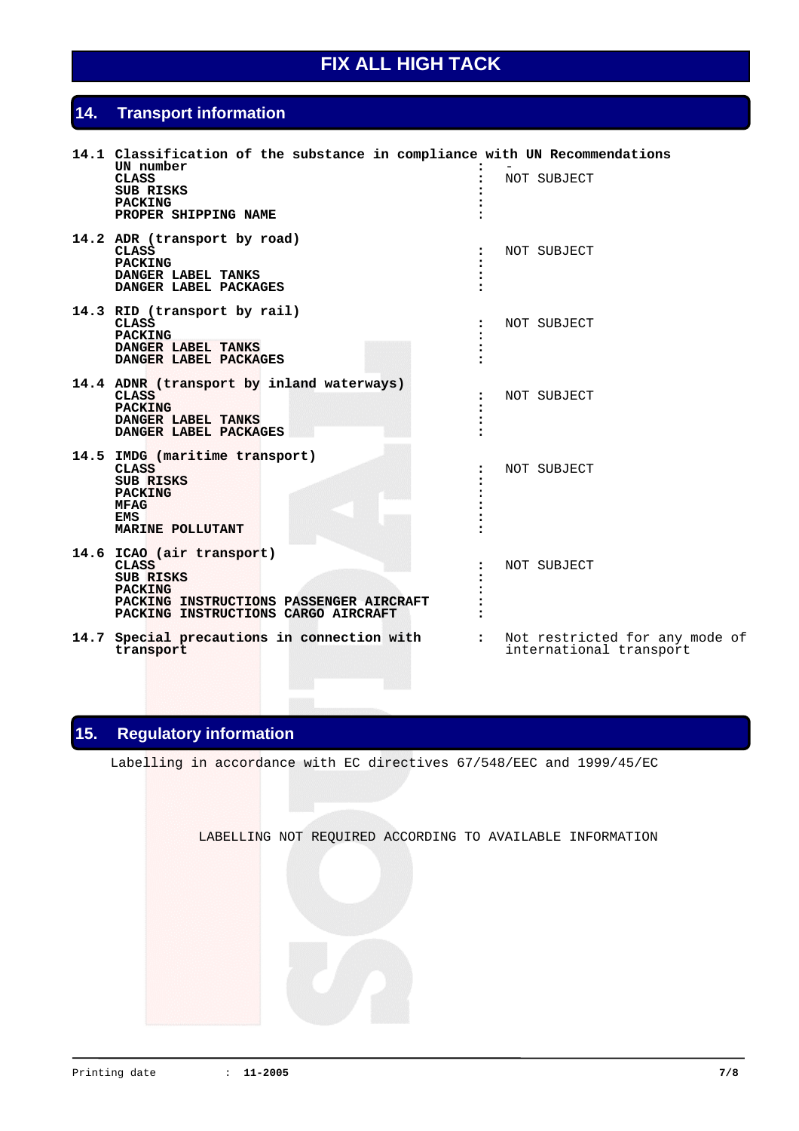## **14. Transport information**

| 14.1 Classification of the substance in compliance with UN Recommendations<br>UN number<br><b>CLASS</b><br>SUB RISKS<br><b>PACKING</b><br>PROPER SHIPPING NAME |                      | NOT SUBJECT                                               |
|----------------------------------------------------------------------------------------------------------------------------------------------------------------|----------------------|-----------------------------------------------------------|
| 14.2 ADR (transport by road)<br><b>CLASS</b><br><b>PACKING</b><br>DANGER LABEL TANKS<br>DANGER LABEL PACKAGES                                                  | $\ddot{\phantom{a}}$ | NOT SUBJECT                                               |
| 14.3 RID (transport by rail)<br><b>CLASS</b><br><b>PACKING</b><br>DANGER LABEL TANKS<br>DANGER LABEL PACKAGES                                                  |                      | NOT SUBJECT                                               |
| 14.4 ADNR (transport by inland waterways)<br><b>CLASS</b><br><b>PACKING</b><br>DANGER LABEL TANKS<br>DANGER LABEL PACKAGES                                     | $\ddot{\phantom{a}}$ | NOT SUBJECT                                               |
| 14.5 IMDG (maritime transport)<br><b>CLASS</b><br>SUB RISKS<br><b>PACKING</b><br><b>MFAG</b><br>EMS<br>MARINE POLLUTANT                                        |                      | NOT SUBJECT                                               |
| 14.6 ICAO (air transport)<br><b>CLASS</b><br>SUB RISKS<br><b>PACKING</b><br>PACKING INSTRUCTIONS PASSENGER AIRCRAFT<br>PACKING INSTRUCTIONS CARGO AIRCRAFT     |                      | NOT SUBJECT                                               |
| 14.7 Special precautions in connection with<br>transport                                                                                                       | $\ddot{\cdot}$       | Not restricted for any mode of<br>international transport |

# **15. Regulatory information**

Labelling in accordance with EC directives 67/548/EEC and 1999/45/EC

LABELLING NOT REQUIRED ACCORDING TO AVAILABLE INFORMATION